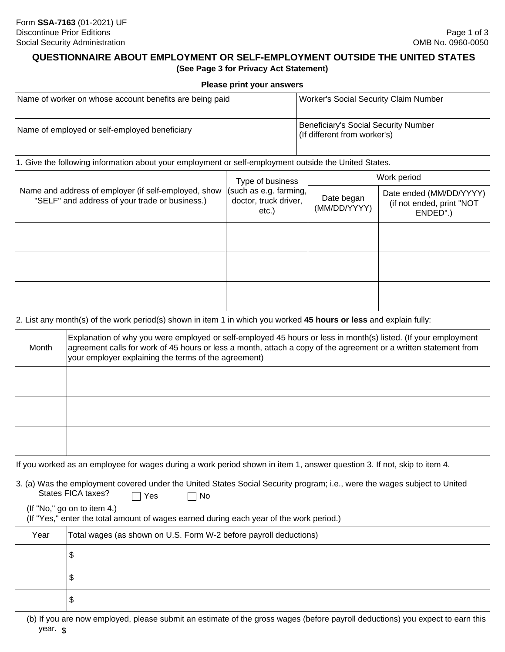#### **QUESTIONNAIRE ABOUT EMPLOYMENT OR SELF-EMPLOYMENT OUTSIDE THE UNITED STATES (See Page 3 for Privacy Act Statement)**

|                                                                                                        |                                                                                                                                                                                                                                                                                            | Please print your answers                                                       |                                                                             |                                                                  |  |
|--------------------------------------------------------------------------------------------------------|--------------------------------------------------------------------------------------------------------------------------------------------------------------------------------------------------------------------------------------------------------------------------------------------|---------------------------------------------------------------------------------|-----------------------------------------------------------------------------|------------------------------------------------------------------|--|
| Name of worker on whose account benefits are being paid                                                |                                                                                                                                                                                                                                                                                            |                                                                                 | <b>Worker's Social Security Claim Number</b>                                |                                                                  |  |
| Name of employed or self-employed beneficiary                                                          |                                                                                                                                                                                                                                                                                            |                                                                                 | <b>Beneficiary's Social Security Number</b><br>(If different from worker's) |                                                                  |  |
|                                                                                                        | 1. Give the following information about your employment or self-employment outside the United States.                                                                                                                                                                                      |                                                                                 |                                                                             |                                                                  |  |
| Name and address of employer (if self-employed, show<br>"SELF" and address of your trade or business.) |                                                                                                                                                                                                                                                                                            | Type of business<br>(such as e.g. farming,<br>doctor, truck driver,<br>$etc.$ ) | Work period                                                                 |                                                                  |  |
|                                                                                                        |                                                                                                                                                                                                                                                                                            |                                                                                 | Date began<br>(MM/DD/YYYY)                                                  | Date ended (MM/DD/YYYY)<br>(if not ended, print "NOT<br>ENDED".) |  |
|                                                                                                        |                                                                                                                                                                                                                                                                                            |                                                                                 |                                                                             |                                                                  |  |
|                                                                                                        |                                                                                                                                                                                                                                                                                            |                                                                                 |                                                                             |                                                                  |  |
|                                                                                                        | 2. List any month(s) of the work period(s) shown in item 1 in which you worked 45 hours or less and explain fully:                                                                                                                                                                         |                                                                                 |                                                                             |                                                                  |  |
| Month                                                                                                  | Explanation of why you were employed or self-employed 45 hours or less in month(s) listed. (If your employment<br>agreement calls for work of 45 hours or less a month, attach a copy of the agreement or a written statement from<br>your employer explaining the terms of the agreement) |                                                                                 |                                                                             |                                                                  |  |
|                                                                                                        |                                                                                                                                                                                                                                                                                            |                                                                                 |                                                                             |                                                                  |  |
|                                                                                                        | If you worked as an employee for wages during a work period shown in item 1, answer question 3. If not, skip to item 4.                                                                                                                                                                    |                                                                                 |                                                                             |                                                                  |  |
|                                                                                                        | 3. (a) Was the employment covered under the United States Social Security program; i.e., were the wages subject to United<br>States FICA taxes?<br>$\sqcap$ Yes<br>No<br>(If "No," go on to item 4.)                                                                                       |                                                                                 |                                                                             |                                                                  |  |
| Year                                                                                                   | (If "Yes," enter the total amount of wages earned during each year of the work period.)<br>Total wages (as shown on U.S. Form W-2 before payroll deductions)                                                                                                                               |                                                                                 |                                                                             |                                                                  |  |
|                                                                                                        | \$                                                                                                                                                                                                                                                                                         |                                                                                 |                                                                             |                                                                  |  |
|                                                                                                        | \$                                                                                                                                                                                                                                                                                         |                                                                                 |                                                                             |                                                                  |  |
|                                                                                                        | \$                                                                                                                                                                                                                                                                                         |                                                                                 |                                                                             |                                                                  |  |
| year. \$                                                                                               | (b) If you are now employed, please submit an estimate of the gross wages (before payroll deductions) you expect to earn this                                                                                                                                                              |                                                                                 |                                                                             |                                                                  |  |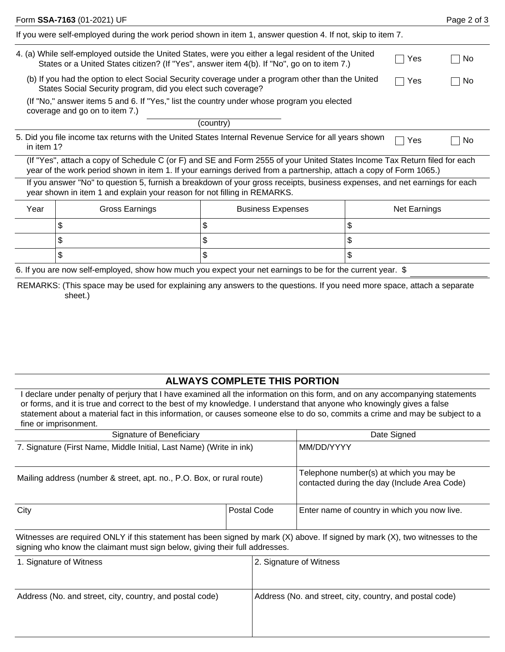| Page 2 of 3                                                                                                                                                                                                                                     |  |  |  |  |  |  |  |
|-------------------------------------------------------------------------------------------------------------------------------------------------------------------------------------------------------------------------------------------------|--|--|--|--|--|--|--|
| If you were self-employed during the work period shown in item 1, answer question 4. If not, skip to item 7.                                                                                                                                    |  |  |  |  |  |  |  |
| 4. (a) While self-employed outside the United States, were you either a legal resident of the United<br>Yes<br>No.                                                                                                                              |  |  |  |  |  |  |  |
| (b) If you had the option to elect Social Security coverage under a program other than the United<br>Yes<br>No.                                                                                                                                 |  |  |  |  |  |  |  |
| (If "No," answer items 5 and 6. If "Yes," list the country under whose program you elected<br>coverage and go on to item 7.)                                                                                                                    |  |  |  |  |  |  |  |
| (country)                                                                                                                                                                                                                                       |  |  |  |  |  |  |  |
| 5. Did you file income tax returns with the United States Internal Revenue Service for all years shown<br>Yes<br>No<br>in item 1?                                                                                                               |  |  |  |  |  |  |  |
| (If "Yes", attach a copy of Schedule C (or F) and SE and Form 2555 of your United States Income Tax Return filed for each<br>year of the work period shown in item 1. If your earnings derived from a partnership, attach a copy of Form 1065.) |  |  |  |  |  |  |  |
| If you answer "No" to question 5, furnish a breakdown of your gross receipts, business expenses, and net earnings for each<br>year shown in item 1 and explain your reason for not filling in REMARKS.                                          |  |  |  |  |  |  |  |
| Net Earnings                                                                                                                                                                                                                                    |  |  |  |  |  |  |  |
|                                                                                                                                                                                                                                                 |  |  |  |  |  |  |  |
|                                                                                                                                                                                                                                                 |  |  |  |  |  |  |  |
|                                                                                                                                                                                                                                                 |  |  |  |  |  |  |  |
|                                                                                                                                                                                                                                                 |  |  |  |  |  |  |  |

6. If you are now self-employed, show how much you expect your net earnings to be for the current year. \$

REMARKS: (This space may be used for explaining any answers to the questions. If you need more space, attach a separate sheet.)

## **ALWAYS COMPLETE THIS PORTION**

I declare under penalty of perjury that I have examined all the information on this form, and on any accompanying statements or forms, and it is true and correct to the best of my knowledge. I understand that anyone who knowingly gives a false statement about a material fact in this information, or causes someone else to do so, commits a crime and may be subject to a fine or imprisonment.

| Signature of Beneficiary                                                                                                                                                                                    | Date Signed                                                                             |                                              |
|-------------------------------------------------------------------------------------------------------------------------------------------------------------------------------------------------------------|-----------------------------------------------------------------------------------------|----------------------------------------------|
| 7. Signature (First Name, Middle Initial, Last Name) (Write in ink)                                                                                                                                         | MM/DD/YYYY                                                                              |                                              |
| Mailing address (number & street, apt. no., P.O. Box, or rural route)                                                                                                                                       | Telephone number(s) at which you may be<br>contacted during the day (Include Area Code) |                                              |
| City                                                                                                                                                                                                        | Postal Code                                                                             | Enter name of country in which you now live. |
| Witnesses are required ONLY if this statement has been signed by mark (X) above. If signed by mark (X), two witnesses to the<br>signing who know the claimant must sign below, giving their full addresses. |                                                                                         |                                              |

| 1. Signature of Witness                                  | 2. Signature of Witness                                  |
|----------------------------------------------------------|----------------------------------------------------------|
| Address (No. and street, city, country, and postal code) | Address (No. and street, city, country, and postal code) |